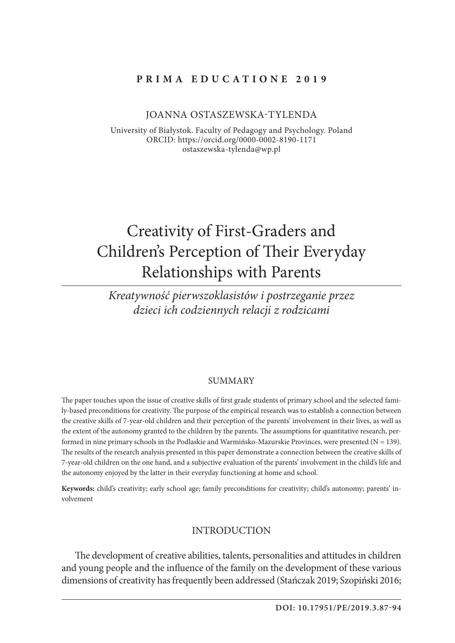## **Prima Education e 2019**

#### Joanna Ostaszewska-Tylenda

University of Białystok. Faculty of Pedagogy and Psychology. Poland ORCID: https://orcid.org/0000-0002-8190-1171 ostaszewska-tylenda@wp.pl

# Creativity of First-Graders and Children's Perception of Their Everyday Relationships with Parents

*Kreatywność pierwszoklasistów i postrzeganie przez dzieci ich codziennych relacji z rodzicami*

#### **SUMMARY**

The paper touches upon the issue of creative skills of first grade students of primary school and the selected family-based preconditions for creativity. The purpose of the empirical research was to establish a connection between the creative skills of 7-year-old children and their perception of the parents' involvement in their lives, as well as the extent of the autonomy granted to the children by the parents. The assumptions for quantitative research, performed in nine primary schools in the Podlaskie and Warmińsko-Mazurskie Provinces, were presented (N = 139). The results of the research analysis presented in this paper demonstrate a connection between the creative skills of 7-year-old children on the one hand, and a subjective evaluation of the parents' involvement in the child's life and the autonomy enjoyed by the latter in their everyday functioning at home and school.

**Keywords:** child's creativity; early school age; family preconditions for creativity; child's autonomy; parents' involvement

#### INTRODUCTION

The development of creative abilities, talents, personalities and attitudes in children and young people and the influence of the family on the development of these various dimensions of creativity has frequently been addressed (Stańczak 2019; Szopiński 2016;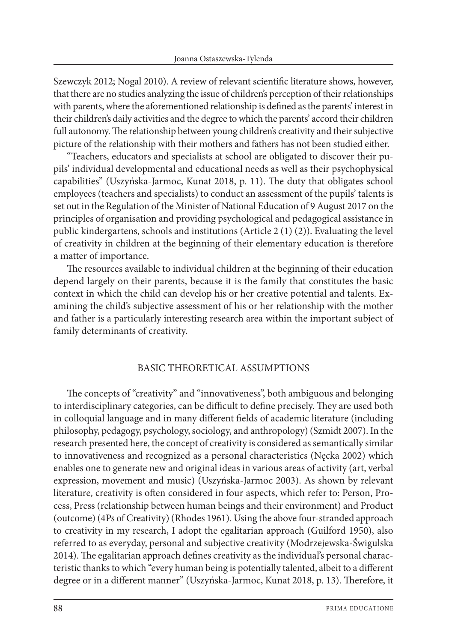Szewczyk 2012; Nogal 2010). A review of relevant scientific literature shows, however, that there are no studies analyzing the issue of children's perception of their relationships with parents, where the aforementioned relationship is defined as the parents' interest in their children's daily activities and the degree to which the parents' accord their children full autonomy. The relationship between young children's creativity and their subjective picture of the relationship with their mothers and fathers has not been studied either.

"Teachers, educators and specialists at school are obligated to discover their pupils' individual developmental and educational needs as well as their psychophysical capabilities" (Uszyńska-Jarmoc, Kunat 2018, p. 11). The duty that obligates school employees (teachers and specialists) to conduct an assessment of the pupils' talents is set out in the Regulation of the Minister of National Education of 9 August 2017 on the principles of organisation and providing psychological and pedagogical assistance in public kindergartens, schools and institutions (Article 2 (1) (2)). Evaluating the level of creativity in children at the beginning of their elementary education is therefore a matter of importance.

The resources available to individual children at the beginning of their education depend largely on their parents, because it is the family that constitutes the basic context in which the child can develop his or her creative potential and talents. Examining the child's subjective assessment of his or her relationship with the mother and father is a particularly interesting research area within the important subject of family determinants of creativity.

## BASIC THEORETICAL ASSUMPTIONS

The concepts of "creativity" and "innovativeness", both ambiguous and belonging to interdisciplinary categories, can be difficult to define precisely. They are used both in colloquial language and in many different fields of academic literature (including philosophy, pedagogy, psychology, sociology, and anthropology) (Szmidt 2007). In the research presented here, the concept of creativity is considered as semantically similar to innovativeness and recognized as a personal characteristics (Nęcka 2002) which enables one to generate new and original ideas in various areas of activity (art, verbal expression, movement and music) (Uszyńska-Jarmoc 2003). As shown by relevant literature, creativity is often considered in four aspects, which refer to: Person, Process, Press (relationship between human beings and their environment) and Product (outcome) (4Ps of Creativity) (Rhodes 1961). Using the above four-stranded approach to creativity in my research, I adopt the egalitarian approach (Guilford 1950), also referred to as everyday, personal and subjective creativity (Modrzejewska-Świgulska 2014). The egalitarian approach defines creativity as the individual's personal characteristic thanks to which "every human being is potentially talented, albeit to a different degree or in a different manner" (Uszyńska-Jarmoc, Kunat 2018, p. 13). Therefore, it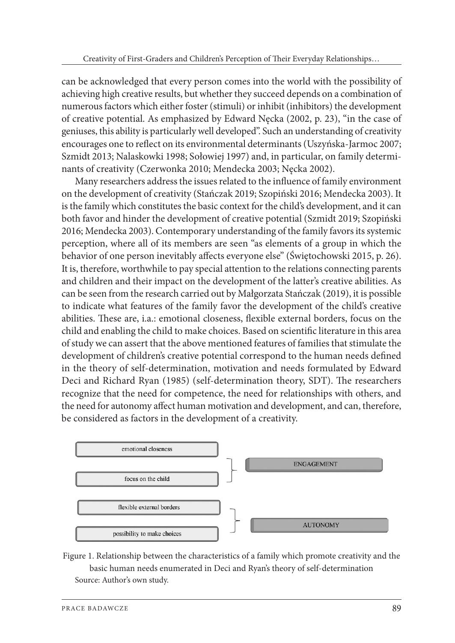can be acknowledged that every person comes into the world with the possibility of achieving high creative results, but whether they succeed depends on a combination of numerous factors which either foster (stimuli) or inhibit (inhibitors) the development of creative potential. As emphasized by Edward Nęcka (2002, p. 23), "in the case of geniuses, this ability is particularly well developed". Such an understanding of creativity encourages one to reflect on its environmental determinants (Uszyńska-Jarmoc 2007; Szmidt 2013; Nalaskowki 1998; Sołowiej 1997) and, in particular, on family determinants of creativity (Czerwonka 2010; Mendecka 2003; Nęcka 2002).

Many researchers address the issues related to the influence of family environment on the development of creativity (Stańczak 2019; Szopiński 2016; Mendecka 2003). It is the family which constitutes the basic context for the child's development, and it can both favor and hinder the development of creative potential (Szmidt 2019; Szopiński 2016; Mendecka 2003). Contemporary understanding of the family favors its systemic perception, where all of its members are seen "as elements of a group in which the behavior of one person inevitably affects everyone else" (Świętochowski 2015, p. 26). It is, therefore, worthwhile to pay special attention to the relations connecting parents and children and their impact on the development of the latter's creative abilities. As can be seen from the research carried out by Małgorzata Stańczak (2019), it is possible to indicate what features of the family favor the development of the child's creative abilities. These are, i.a.: emotional closeness, flexible external borders, focus on the child and enabling the child to make choices. Based on scientific literature in this area of study we can assert that the above mentioned features of families that stimulate the development of children's creative potential correspond to the human needs defined in the theory of self-determination, motivation and needs formulated by Edward Deci and Richard Ryan (1985) (self-determination theory, SDT). The researchers recognize that the need for competence, the need for relationships with others, and the need for autonomy affect human motivation and development, and can, therefore, be considered as factors in the development of a creativity.



Figure 1. Relationship between the characteristics of a family which promote creativity and the basic human needs enumerated in Deci and Ryan's theory of self-determination Source: Author's own study.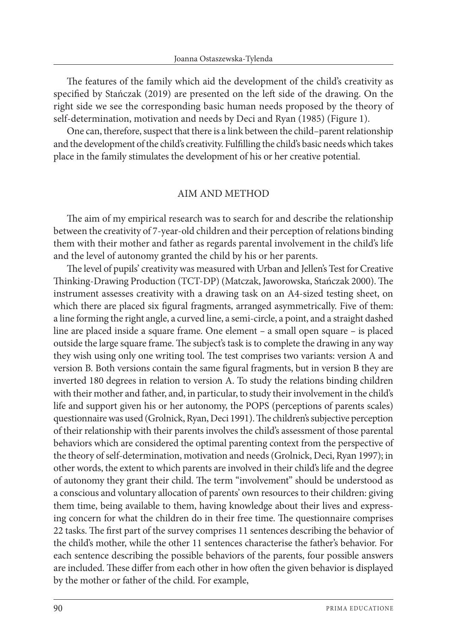The features of the family which aid the development of the child's creativity as specified by Stańczak (2019) are presented on the left side of the drawing. On the right side we see the corresponding basic human needs proposed by the theory of self-determination, motivation and needs by Deci and Ryan (1985) (Figure 1).

One can, therefore, suspect that there is a link between the child–parent relationship and the development of the child's creativity. Fulfilling the child's basic needs which takes place in the family stimulates the development of his or her creative potential.

## AIM AND METHOD

The aim of my empirical research was to search for and describe the relationship between the creativity of 7-year-old children and their perception of relations binding them with their mother and father as regards parental involvement in the child's life and the level of autonomy granted the child by his or her parents.

The level of pupils' creativity was measured with Urban and Jellen's Test for Creative Thinking-Drawing Production (TCT-DP) (Matczak, Jaworowska, Stańczak 2000). The instrument assesses creativity with a drawing task on an A4-sized testing sheet, on which there are placed six figural fragments, arranged asymmetrically. Five of them: a line forming the right angle, a curved line, a semi-circle, a point, and a straight dashed line are placed inside a square frame. One element *–* a small open square *–* is placed outside the large square frame. The subject's task is to complete the drawing in any way they wish using only one writing tool. The test comprises two variants: version A and version B. Both versions contain the same figural fragments, but in version B they are inverted 180 degrees in relation to version A. To study the relations binding children with their mother and father, and, in particular, to study their involvement in the child's life and support given his or her autonomy, the POPS (perceptions of parents scales) questionnaire was used (Grolnick, Ryan, Deci 1991). The children's subjective perception of their relationship with their parents involves the child's assessment of those parental behaviors which are considered the optimal parenting context from the perspective of the theory of self-determination, motivation and needs (Grolnick, Deci, Ryan 1997); in other words, the extent to which parents are involved in their child's life and the degree of autonomy they grant their child. The term "involvement" should be understood as a conscious and voluntary allocation of parents' own resources to their children: giving them time, being available to them, having knowledge about their lives and expressing concern for what the children do in their free time. The questionnaire comprises 22 tasks. The first part of the survey comprises 11 sentences describing the behavior of the child's mother, while the other 11 sentences characterise the father's behavior. For each sentence describing the possible behaviors of the parents, four possible answers are included. These differ from each other in how often the given behavior is displayed by the mother or father of the child. For example,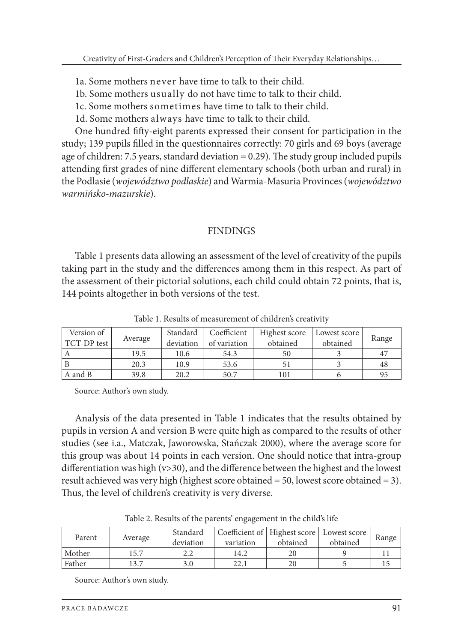- 1a. Some mothers never have time to talk to their child.
- 1b. Some mothers usually do not have time to talk to their child.
- 1c. Some mothers sometimes have time to talk to their child.
- 1d. Some mothers always have time to talk to their child.

One hundred fifty-eight parents expressed their consent for participation in the study; 139 pupils filled in the questionnaires correctly: 70 girls and 69 boys (average age of children: 7.5 years, standard deviation  $= 0.29$ ). The study group included pupils attending first grades of nine different elementary schools (both urban and rural) in the Podlasie (*województwo podlaskie*) and Warmia-Masuria Provinces (*województwo warmińsko-mazurskie*).

#### **FINDINGS**

Table 1 presents data allowing an assessment of the level of creativity of the pupils taking part in the study and the differences among them in this respect. As part of the assessment of their pictorial solutions, each child could obtain 72 points, that is, 144 points altogether in both versions of the test.

| Version of  |         | Standard  | Coefficient  | Highest score | Lowest score | Range          |  |
|-------------|---------|-----------|--------------|---------------|--------------|----------------|--|
| TCT-DP test | Average | deviation | of variation | obtained      | obtained     |                |  |
|             | 19.5    | 10.6      | 54.3         | 50            |              | 4 <sup>7</sup> |  |
|             | 20.3    | 10.9      | 53.6         |               |              | 48             |  |
| A and B     | 39.8    | 20.2      | 50.7         | 101           |              | 95             |  |

Table 1. Results of measurement of children's creativity

Source: Author's own study.

Analysis of the data presented in Table 1 indicates that the results obtained by pupils in version A and version B were quite high as compared to the results of other studies (see i.a., Matczak, Jaworowska, Stańczak 2000), where the average score for this group was about 14 points in each version. One should notice that intra-group differentiation was high (v>30), and the difference between the highest and the lowest result achieved was very high (highest score obtained = 50, lowest score obtained = 3). Thus, the level of children's creativity is very diverse.

| Parent | Average | Standard<br>deviation | Coefficient of   Highest score   Lowest score  <br>variation | obtained | obtained | Range |
|--------|---------|-----------------------|--------------------------------------------------------------|----------|----------|-------|
| Mother | 15.7    | 2.Z                   | 14.2                                                         |          |          |       |
| Father | 3.7     | 3.0                   |                                                              |          |          |       |

Table 2. Results of the parents' engagement in the child's life

Source: Author's own study.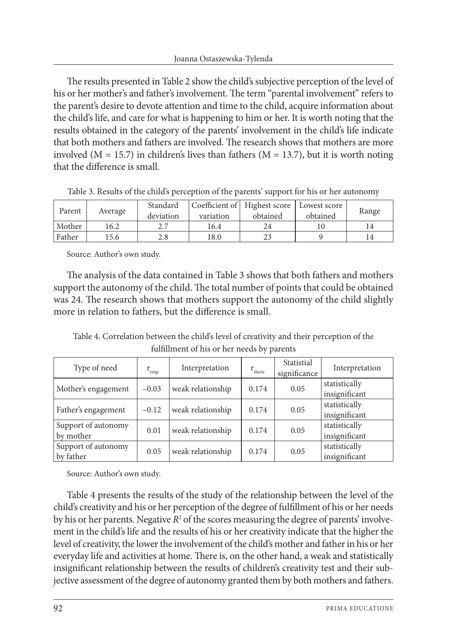The results presented in Table 2 show the child's subjective perception of the level of his or her mother's and father's involvement. The term "parental involvement" refers to the parent's desire to devote attention and time to the child, acquire information about the child's life, and care for what is happening to him or her. It is worth noting that the results obtained in the category of the parents' involvement in the child's life indicate that both mothers and fathers are involved. The research shows that mothers are more involved ( $M = 15.7$ ) in children's lives than fathers ( $M = 13.7$ ), but it is worth noting that the difference is small.

| Parent | Average | Standard<br>deviation | variation | Coefficient of Highest score   Lowest score  <br>obtained | obtained | Range |
|--------|---------|-----------------------|-----------|-----------------------------------------------------------|----------|-------|
| Mother | 16.2    |                       | 16.4      |                                                           |          |       |
| Father | 15.6    | 2.8                   | 18.0      |                                                           |          |       |

Table 3. Results of the child's perception of the parents' support for his or her autonomy

Source: Author's own study.

The analysis of the data contained in Table 3 shows that both fathers and mothers support the autonomy of the child. The total number of points that could be obtained was 24. The research shows that mothers support the autonomy of the child slightly more in relation to fathers, but the difference is small.

Table 4. Correlation between the child's level of creativity and their perception of the fulfillment of his or her needs by parents

| Type of need                     | $\rm r_{emp.}$ | Interpretation    | $r_{\text{theor.}}$ | Statistial<br>significance | Interpretation                 |
|----------------------------------|----------------|-------------------|---------------------|----------------------------|--------------------------------|
| Mother's engagement              | $-0.03$        | weak relationship | 0.174               | 0.05                       | statistically<br>insignificant |
| Father's engagement              | $-0.12$        | weak relationship | 0.174               | 0.05                       | statistically<br>insignificant |
| Support of autonomy<br>by mother | 0.01           | weak relationship | 0.174               | 0.05                       | statistically<br>insignificant |
| Support of autonomy<br>by father | 0.05           | weak relationship | 0.174               | 0.05                       | statistically<br>insignificant |

Source: Author's own study.

Table 4 presents the results of the study of the relationship between the level of the child's creativity and his or her perception of the degree of fulfillment of his or her needs by his or her parents. Negative  $R^2$  of the scores measuring the degree of parents' involvement in the child's life and the results of his or her creativity indicate that the higher the level of creativity, the lower the involvement of the child's mother and father in his or her everyday life and activities at home. There is, on the other hand, a weak and statistically insignificant relationship between the results of children's creativity test and their subjective assessment of the degree of autonomy granted them by both mothers and fathers.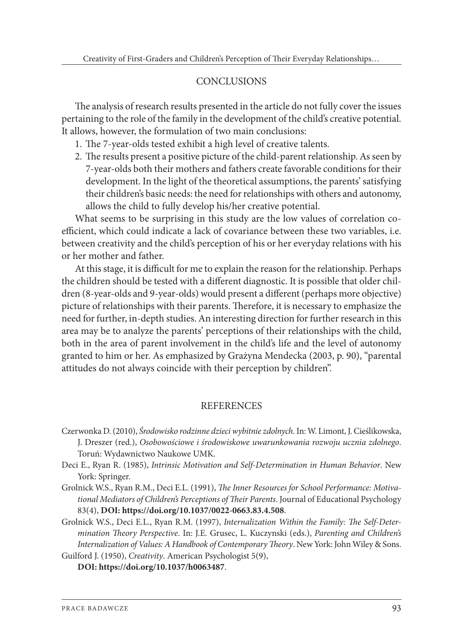## **CONCLUSIONS**

The analysis of research results presented in the article do not fully cover the issues pertaining to the role of the family in the development of the child's creative potential. It allows, however, the formulation of two main conclusions:

- 1. The 7-year-olds tested exhibit a high level of creative talents.
- 2. The results present a positive picture of the child-parent relationship. As seen by 7-year-olds both their mothers and fathers create favorable conditions for their development. In the light of the theoretical assumptions, the parents' satisfying their children's basic needs: the need for relationships with others and autonomy, allows the child to fully develop his/her creative potential.

What seems to be surprising in this study are the low values of correlation coefficient, which could indicate a lack of covariance between these two variables, i.e. between creativity and the child's perception of his or her everyday relations with his or her mother and father.

At this stage, it is difficult for me to explain the reason for the relationship. Perhaps the children should be tested with a different diagnostic. It is possible that older children (8-year-olds and 9-year-olds) would present a different (perhaps more objective) picture of relationships with their parents. Therefore, it is necessary to emphasize the need for further, in-depth studies. An interesting direction for further research in this area may be to analyze the parents' perceptions of their relationships with the child, both in the area of parent involvement in the child's life and the level of autonomy granted to him or her. As emphasized by Grażyna Mendecka (2003, p. 90), "parental attitudes do not always coincide with their perception by children".

#### **REFERENCES**

- Czerwonka D. (2010), *Środowisko rodzinne dzieci wybitnie zdolnych*. In: W. Limont, J. Cieślikowska, J. Dreszer (red.), *Osobowościowe i środowiskowe uwarunkowania rozwoju ucznia zdolnego*. Toruń: Wydawnictwo Naukowe UMK.
- Deci E., Ryan R. (1985), *Intrinsic Motivation and Self-Determination in Human Behavior*. New York: Springer.
- Grolnick W.S., Ryan R.M., Deci E.L. (1991), *The Inner Resources for School Performance: Motivational Mediators of Children's Perceptions of Their Parents*. Journal of Educational Psychology 83(4), **DOI: https://doi.org/10.1037/0022-0663.83.4.508**.
- Grolnick W.S., Deci E.L., Ryan R.M. (1997), *Internalization Within the Family: The Self-Determination Theory Perspective*. In: J.E. Grusec, L. Kuczynski (eds.), *Parenting and Children's Internalization of Values: A Handbook of Contemporary Theory*. New York: John Wiley & Sons. Guilford J. (1950), *Creativity*. American Psychologist 5(9),

**DOI: https://doi.org/10.1037/h0063487**.